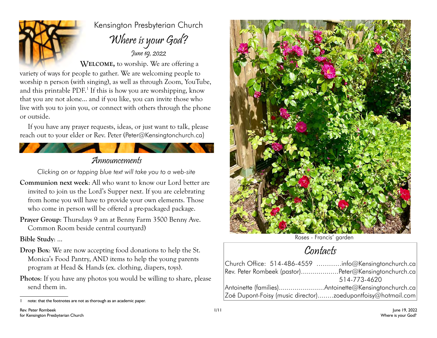

Kensington Presbyterian Church Where is your God? June 19, 2022

WELCOME, to worship. We are offering a

variety of ways for people to gather. We are welcoming people to worship n person (with singing), as well as through Zoom, YouTube, and this printable  ${\rm PDF.}^1$  ${\rm PDF.}^1$  If this is how you are worshipping, know that you are not alone... and if you like, you can invite those who live with you to join you, or connect with others through the phone or outside.

If you have any prayer requests, ideas, or just want to talk, please reach out to your elder or Rev. Peter (Peter@Kensingtonchurch.ca)

## Announcements

*Clicking on or tapping blue text will take you to a web-site*

- **Communion next week**: All who want to know our Lord better are invited to join us the Lord's Supper next. If you are celebrating from home you will have to provide your own elements. Those who come in person will be offered a pre-packaged package.
- **Prayer Group**: Thursdays 9 am at Benny Farm 3500 Benny Ave. Common Room beside central courtyard)

### **Bible Study**: ...

- **Drop Box**: We are now accepting food donations to help the St. Monica's Food Pantry, AND items to help the young parents program at Head & Hands (ex. clothing, diapers, toys).
- **Photos**: If you have any photos you would be willing to share, please send them in.



Roses - Francis' garden

## Contacts

| Church Office: 514-486-4559 info@Kensingtonchurch.ca        |
|-------------------------------------------------------------|
| Rev. Peter Rombeek (pastor)Peter@Kensingtonchurch.ca        |
| 514-773-4620                                                |
| Antoinette (families)Antoinette@Kensingtonchurch.ca         |
| Zoé Dupont-Foisy (music director)zoedupontfoisy@hotmail.com |

<span id="page-0-0"></span>note: that the footnotes are not as thorough as an academic paper.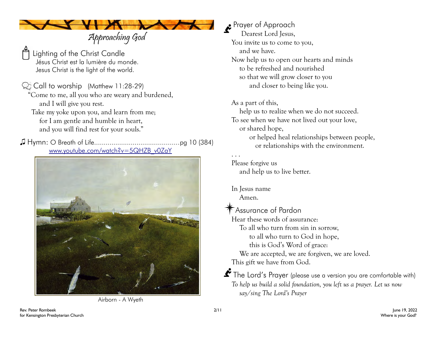

# Approaching God

Lighting of the Christ Candle Jésus Christ est la lumière du monde. Jesus Christ is the light of the world.

Q Call to worship (Matthew 11:28-29) "Come to me, all you who are weary and burdened,

 and I will give you rest. Take my yoke upon you, and learn from me; for I am gentle and humble in heart,

and you will find rest for your souls."

♫ Hymn: O Breath of Life............................................pg 10 (384) [www.youtube.com/watch?v=5QHZB\\_v0ZaY](https://www.youtube.com/watch?v=5QHZB_v0ZaY)



Airborn - A Wyeth

# Prayer of Approach

Dearest Lord Jesus, You invite us to come to you, and we have. Now help us to open our hearts and minds to be refreshed and nourished so that we will grow closer to you and closer to being like you.

As a part of this, help us to realize when we do not succeed. To see when we have not lived out your love, or shared hope, or helped heal relationships between people, or relationships with the environment.

. . . Please forgive us and help us to live better.

In Jesus name Amen.

## Assurance of Pardon

Hear these words of assurance:

To all who turn from sin in sorrow,

to all who turn to God in hope,

this is God's Word of grace:

We are accepted, we are forgiven, we are loved.

This gift we have from God.

The Lord's Prayer (please use a version you are comfortable with) *To help us build a solid foundation, you left us a prayer. Let us now say/sing The Lord's Prayer*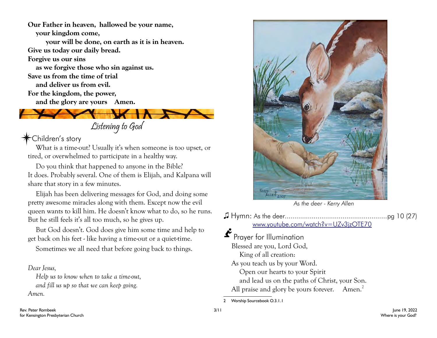**Our Father in heaven, hallowed be your name, your kingdom come, your will be done, on earth as it is in heaven. Give us today our daily bread. Forgive us our sins as we forgive those who sin against us. Save us from the time of trial and deliver us from evil. For the kingdom, the power, and the glory are yours Amen.**



Listening to God

Children's story

What is a time-out? Usually it's when someone is too upset, or tired, or overwhelmed to participate in a healthy way.

Do you think that happened to anyone in the Bible? It does. Probably several. One of them is Elijah, and Kalpana will share that story in a few minutes.

Elijah has been delivering messages for God, and doing some pretty awesome miracles along with them. Except now the evil queen wants to kill him. He doesn't know what to do, so he runs. But he still feels it's all too much, so he gives up.

But God doesn't. God does give him some time and help to get back on his feet - like having a time-out or a quiet-time.

Sometimes we all need that before going back to things.

*Dear Jesus,* 

*Help us to know when to take a time-out,* 

*and fill us up so that we can keep going.* 

*Amen.*



*As the deer - Kerry Allen*

♫ Hymn: As the deer.....................................................pg 10 (27) [www.youtube.com/watch?v=UZv3jzOTE70](https://www.youtube.com/watch?v=UZv3jzOTE70) 

 $\mathbf{\mathring{E}}$  Prayer for Illumination Blessed are you, Lord God, King of all creation: As you teach us by your Word. Open our hearts to your Spirit and lead us on the paths of Christ, your Son. All praise and glory be yours forever. Amen.<sup>[2](#page-2-0)</sup>

<span id="page-2-0"></span><sup>2</sup> Worship Sourcebook O.3.1.1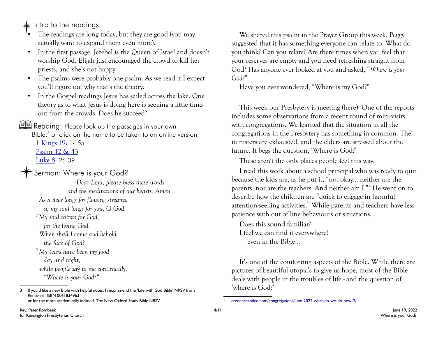$\triangleq$  Intro to the readings

- The readings are long today, but they are good (you may actually want to expand them even more).
- In the first passage, Jezebel is the Queen of Israel and doesn't worship God. Elijah just encouraged the crowd to kill her priests, and she's not happy.
- The psalms were probably one psalm. As we read it I expect you'll figure out why that's the theory.
- In the Gospel readings Jesus has sailed across the lake. One theory as to what Jesus is doing here is seeking a little timeout from the crowds. Does he succeed?

Reading: Please look up the passages in your own Bible,<sup>[3](#page-3-0)</sup> or click on the name to be taken to an online version. [1 Kings 19:](https://bible.oremus.org/?passage=1+Kings+19) 1-15a [Psalm 42 & 43](https://bible.oremus.org/?passage=Psalm+42-43) [Luke 8:](https://bible.oremus.org/?passage=Luke+8) 26-39 Sermon: Where is your God?

*Dear Lord, please bless these words and the meditations of our hearts. Amen. <sup>1</sup>As a deer longs for flowing streams, so my soul longs for you, O God. <sup>2</sup>My soul thirsts for God, for the living God. When shall I come and behold the face of God? <sup>3</sup>My tears have been my food day and night, while people say to me continually, "Where is your God?"* 

We shared this psalm in the Prayer Group this week. Peggy suggested that it has something everyone can relate to. What do you think? Can you relate? Are there times when you feel that your reserves are empty and you need refreshing straight from God? Has anyone ever looked at you and asked, "*Where is your God?*"

Have you ever wondered, "Where is my God?"

This week our Presbytery is meeting (here). One of the reports includes some observations from a recent round of mini-visits with congregations. We learned that the situation in all the congregations in the Presbytery has something in common. The ministers are exhausted, and the elders are stressed about the future. It begs the question, 'Where is God?'

These aren't the only places people feel this way.

I read this week about a school principal who was ready to quit because the kids are, as he put it, "not okay... neither are the parents, nor are the teachers. And neither am I."<sup>[4](#page-3-1)</sup> He went on to describe how the children are "quick to engage in harmful attention-seeking activities." While parents and teachers have less patience with out of line behaviours or situations.

Does this sound familiar? I feel we can find it everywhere? even in the Bible...

It's one of the comforting aspects of the Bible. While there are pictures of beautiful utopia's to give us hope, most of the Bible deals with people in the troubles of life - and the question of 'where is God?'

<span id="page-3-0"></span><sup>3</sup> If you'd like a new Bible with helpful notes, I recommend the 'Life with God Bible' NRSV from Renovaré. ISBN 0061834963 or for the more academically inclined, The New Oxford Study Bible NRSV

<span id="page-3-1"></span><sup>4</sup> [credenceandco.com/congregations/june-2022-what-do-we-do-now-2/](https://credenceandco.com/congregations/june-2022-what-do-we-do-now-2/)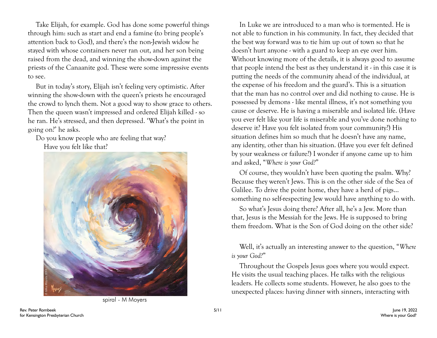Take Elijah, for example. God has done some powerful things through him: such as start and end a famine (to bring people's attention back to God), and there's the non-Jewish widow he stayed with whose containers never ran out, and her son being raised from the dead, and winning the show-down against the priests of the Canaanite god. These were some impressive events to see.

But in today's story, Elijah isn't feeling very optimistic. After winning the show-down with the queen's priests he encouraged the crowd to lynch them. Not a good way to show grace to others. Then the queen wasn't impressed and ordered Elijah killed - so he ran. He's stressed, and then depressed. 'What's the point in going on?' he asks.

Do you know people who are feeling that way? Have you felt like that?



spiral - M Moyers

In Luke we are introduced to a man who is tormented. He is not able to function in his community. In fact, they decided that the best way forward was to tie him up out of town so that he doesn't hurt anyone - with a guard to keep an eye over him. Without knowing more of the details, it is always good to assume that people intend the best as they understand it - in this case it is putting the needs of the community ahead of the individual, at the expense of his freedom and the guard's. This is a situation that the man has no control over and did nothing to cause. He is possessed by demons - like mental illness, it's not something you cause or deserve. He is having a miserable and isolated life. (Have you ever felt like your life is miserable and you've done nothing to deserve it? Have you felt isolated from your community?) His situation defines him so much that he doesn't have any name, any identity, other than his situation. (Have you ever felt defined by your weakness or failure?) I wonder if anyone came up to him and asked, "*Where is your God?*"

Of course, they wouldn't have been quoting the psalm. Why? Because they weren't Jews. This is on the other side of the Sea of Galilee. To drive the point home, they have a herd of pigs... something no self-respecting Jew would have anything to do with.

So what's Jesus doing there? After all, he's a Jew. More than that, Jesus is the Messiah for the Jews. He is supposed to bring them freedom. What is the Son of God doing on the other side?

Well, it's actually an interesting answer to the question, "*Where is your God?*"

Throughout the Gospels Jesus goes where you would expect. He visits the usual teaching places. He talks with the religious leaders. He collects some students. However, he also goes to the unexpected places: having dinner with sinners, interacting with

Rev. Peter Rombeek 5/11 June 19, 2022 for Kensington Presbyterian Church Where is your God?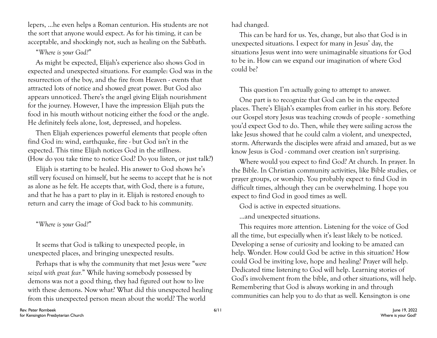lepers, ...he even helps a Roman centurion. His students are not the sort that anyone would expect. As for his timing, it can be acceptable, and shockingly not, such as healing on the Sabbath.

#### "*Where is your God?*"

As might be expected, Elijah's experience also shows God in expected and unexpected situations. For example: God was in the resurrection of the boy, and the fire from Heaven - events that attracted lots of notice and showed great power. But God also appears unnoticed. There's the angel giving Elijah nourishment for the journey. However, I have the impression Elijah puts the food in his mouth without noticing either the food or the angle. He definitely feels alone, lost, depressed, and hopeless.

Then Elijah experiences powerful elements that people often find God in: wind, earthquake, fire - but God isn't in the expected. This time Elijah notices God in the stillness. (How do you take time to notice God? Do you listen, or just talk?)

Elijah is starting to be healed. His answer to God shows he's still very focused on himself, but he seems to accept that he is not as alone as he felt. He accepts that, with God, there is a future, and that he has a part to play in it. Elijah is restored enough to return and carry the image of God back to his community.

"*Where is your God?*"

It seems that God is talking to unexpected people, in unexpected places, and bringing unexpected results.

Perhaps that is why the community that met Jesus were "*were seized with great fear.*" While having somebody possessed by demons was not a good thing, they had figured out how to live with these demons. Now what? What did this unexpected healing from this unexpected person mean about the world? The world

had changed.

This can be hard for us. Yes, change, but also that God is in unexpected situations. I expect for many in Jesus' day, the situations Jesus went into were unimaginable situations for God to be in. How can we expand our imagination of where God could be?

This question I'm actually going to attempt to answer.

One part is to recognize that God can be in the expected places. There's Elijah's examples from earlier in his story. Before our Gospel story Jesus was teaching crowds of people - something you'd expect God to do. Then, while they were sailing across the lake Jesus showed that he could calm a violent, and unexpected, storm. Afterwards the disciples were afraid and amazed, but as we know Jesus is God - command over creation isn't surprising.

Where would you expect to find God? At church. In prayer. In the Bible. In Christian community activities, like Bible studies, or prayer groups, or worship. You probably expect to find God in difficult times, although they can be overwhelming. I hope you expect to find God in good times as well.

God is active in expected situations.

...and unexpected situations.

This requires more attention. Listening for the voice of God all the time, but especially when it's least likely to be noticed. Developing a sense of curiosity and looking to be amazed can help. Wonder. How could God be active in this situation? How could God be inviting love, hope and healing? Prayer will help. Dedicated time listening to God will help. Learning stories of God's involvement from the bible, and other situations, will help. Remembering that God is always working in and through communities can help you to do that as well. Kensington is one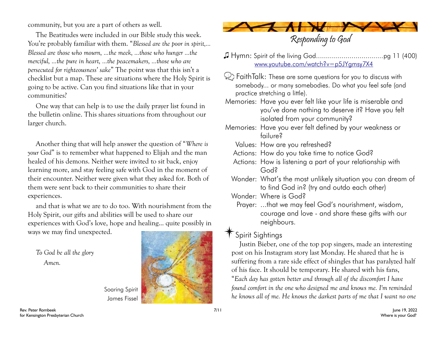community, but you are a part of others as well.

The Beatitudes were included in our Bible study this week. You're probably familiar with them. "*Blessed are the poor in spirit,... Blessed are those who mourn, ...the meek, ...those who hunger ...the merciful, ...the pure in heart, ...the peacemakers, ...those who are persecuted for righteousness' sake*" The point was that this isn't a checklist but a map. These are situations where the Holy Spirit is going to be active. Can you find situations like that in your communities?

One way that can help is to use the daily prayer list found in the bulletin online. This shares situations from throughout our larger church.

Another thing that will help answer the question of "*Where is your God*" is to remember what happened to Elijah and the man healed of his demons. Neither were invited to sit back, enjoy learning more, and stay feeling safe with God in the moment of their encounter. Neither were given what they asked for. Both of them were sent back to their communities to share their experiences.

and that is what we are to do too. With nourishment from the Holy Spirit, our gifts and abilities will be used to share our experiences with God's love, hope and healing... quite possibly in ways we may find unexpected.

*To God be all the glory Amen.*



Soaring Spirit James Fisse



♫ Hymn: Spirit of the living God..................................pg 11 (400) [www.youtube.com/watch?v=p5JYgmsy7X4](https://www.youtube.com/watch?v=p5JYgmsy7X4) 

FaithTalk: These are some questions for you to discuss with somebody... or many somebodies. Do what you feel safe (and practice stretching a little).

Memories: Have you ever felt like your life is miserable and you've done nothing to deserve it? Have you felt isolated from your community?

- Memories: Have you ever felt defined by your weakness or failure?
	- Values: How are you refreshed?
	- Actions: How do you take time to notice God?
	- Actions: How is listening a part of your relationship with God?
	- Wonder: What's the most unlikely situation you can dream of to find God in? (try and outdo each other)
	- Wonder: Where is God?
	- Prayer: ...that we may feel God's nourishment, wisdom, courage and love - and share these gifts with our neighbours.

## $*$  Spirit Sightings

Justin Bieber, one of the top pop singers, made an interesting post on his Instagram story last Monday. He shared that he is suffering from a rare side effect of shingles that has paralyzed half of his face. It should be temporary. He shared with his fans, "*Each day has gotten better and through all of the discomfort I have found comfort in the one who designed me and knows me. I'm reminded he knows all of me. He knows the darkest parts of me that I want no one*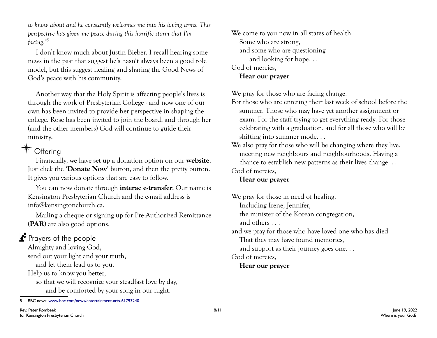*to know about and he constantly welcomes me into his loving arms. This perspective has given me peace during this horrific storm that I'm facing.*" [5](#page-7-0)

I don't know much about Justin Bieber. I recall hearing some news in the past that suggest he's hasn't always been a good role model, but this suggest healing and sharing the Good News of God's peace with his community.

Another way that the Holy Spirit is affecting people's lives is through the work of Presbyterian College - and now one of our own has been invited to provide her perspective in shaping the college. Rose has been invited to join the board, and through her (and the other members) God will continue to guide their ministry.

## **<sup>☀</sup> Offering**

Financially, we have set up a donation option on our **website**. Just click the '**Donate Now**' button, and then the pretty button. It gives you various options that are easy to follow.

You can now donate through **interac e-transfer**. Our name is Kensington Presbyterian Church and the e-mail address is info@kensingtonchurch.ca.

Mailing a cheque or signing up for Pre-Authorized Remittance (**PAR**) are also good options.

## Prayers of the people

Almighty and loving God, send out your light and your truth, and let them lead us to you. Help us to know you better, so that we will recognize your steadfast love by day, and be comforted by your song in our night.

We come to you now in all states of health. Some who are strong, and some who are questioning and looking for hope. . .

God of mercies,

#### **Hear our prayer**

We pray for those who are facing change.

For those who are entering their last week of school before the summer. Those who may have yet another assignment or exam. For the staff trying to get everything ready. For those celebrating with a graduation. and for all those who will be shifting into summer mode. . .

We also pray for those who will be changing where they live, meeting new neighbours and neighbourhoods. Having a chance to establish new patterns as their lives change. . . God of mercies,

### **Hear our prayer**

We pray for those in need of healing,

Including Irene, Jennifer,

the minister of the Korean congregation,

and others . . .

and we pray for those who have loved one who has died.

That they may have found memories,

and support as their journey goes one. . .

God of mercies,

## **Hear our prayer**

<span id="page-7-0"></span><sup>5</sup> BBC news: [www.bbc.com/news/entertainment-arts-61793240](https://www.bbc.com/news/entertainment-arts-61793240)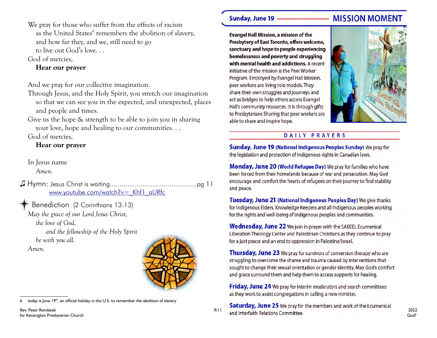We pray for those who suffer from the effects of racism as the United States<sup>[6](#page-8-0)</sup> remembers the abolition of slavery, and how far they, and we, still need to go

to live out God's love. . .

God of mercies,

#### **Hear our prayer**

And we pray for our collective imagination.

- Through Jesus, and the Holy Spirit, you stretch our imagination so that we can see you in the expected, and unexpected, places and people and times.
- Give us the hope & strength to be able to join you in sharing your love, hope and healing to our communities. . .

God of mercies,

**Hear our prayer**

In Jesus name *Amen.*

♫ Hymn: Jesus Christ is waiting.............................................pg 11 [www.youtube.com/watch?v=\\_Khf1\\_aURfc](https://www.youtube.com/watch?v=_Khf1_aURfc)

Benediction (2 Corinthians 13:13)

*May the grace of our Lord Jesus Christ, the love of God,* 

*and the fellowship of the Holy Spirit be with you all.* 

*Amen.*



<sup>6</sup> today is June  $19<sup>th</sup>$ , an official holiday in the U.S. to remember the abolition of slavery

#### **Sunday, June 19**

## **MISSION MOMENT**

**Evangel Hall Mission, a mission of the** Presbytery of East Toronto, offers welcome, sanctuary and hope to people experiencing homelessness and poverty and struggling with mental health and addictions. A recent initiative of the mission is the Peer Worker Program. Employed by Evangel Hall Mission, peer workers are living role models. They share their own struggles and journeys and act as bridges to help others access Evangel Hall's community resources. It is through gifts to Presbyterians Sharing that peer workers are able to share and inspire hope.



#### **DAILY PRAYERS**

**Sunday, June 19 (National Indigenous Peoples Sunday)** We pray for the legislation and protection of Indigenous rights in Canadian laws.

Monday, June 20 (World Refugee Day) We pray for families who have been forced from their homelands because of war and persecution. May God encourage and comfort the hearts of refugees on their journey to find stability and peace.

Tuesday, June 21 (National Indigenous Peoples Day) We give thanks for Indigenous Elders, Knowledge Keepers and all Indigenous peoples working for the rights and well-being of Indigenous peoples and communities.

Wednesday, June 22 We join in prayer with the SABEEL Ecumenical Liberation Theology Center and Palestinian Christians as they continue to pray for a just peace and an end to oppression in Palestine/Israel.

Thursday, June 23 We pray for survivors of conversion therapy who are struggling to overcome the shame and trauma caused by interventions that sought to change their sexual orientation or gender identity. May God's comfort and grace surround them and help them to access supports for healing.

Friday, June 24 We pray for interim moderators and search committees as they work to assist congregations in calling a new minister.

<span id="page-8-0"></span>Rev. Peter Rombeek **Example 25** We pray for the members and work of the Ecumenical Rev. Peter Rombeek **9/11**  $\overline{\text{Saturday}}$ , June 25 We pray for the members and work of the Ecumenical 2022 for Kensington Presbyterian Church God?<br>God?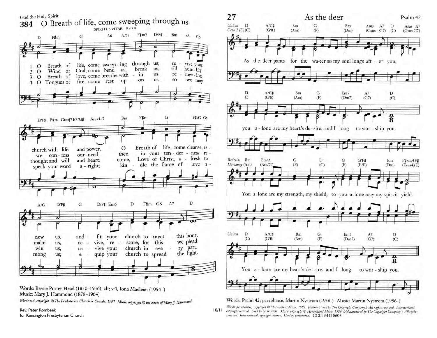

Rev. Peter Rombeek 10

Words: paraphrase, copyright © Maranatha! Music, 1984. (Administered by The Copyright Company.) All rights reserved. International<br>copyright secured. Used by permission. Music: copyright © Maranatha! Music, 1984. (Administ for Kensington Presbyterian Church **For Accord Church** For Kensington Preserved, International copyright secured. Used by permission. CCLI #4440603